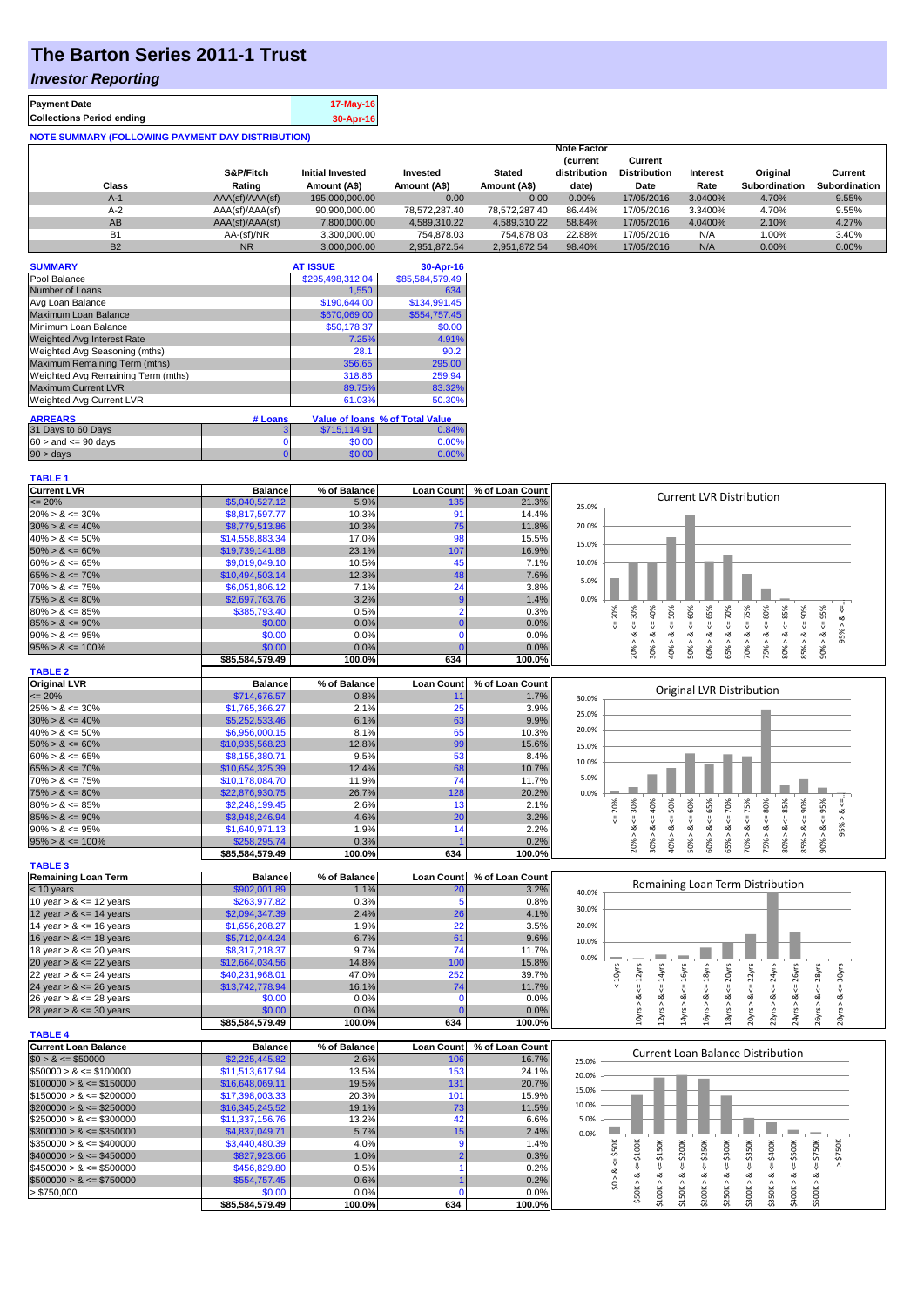## **The Barton Series 2011-1 Trust**

## *Investor Reporting*

| <b>Payment Date</b>                                      | 17-May-16 |
|----------------------------------------------------------|-----------|
| <b>Collections Period ending</b>                         | 30-Apr-16 |
| <b>NOTE SUMMARY (FOLLOWING PAYMENT DAY DISTRIBUTION)</b> |           |

|           | S&P/Fitch       | <b>Initial Invested</b> | Invested      | <b>Stated</b> | <b>Note Factor</b><br><b>Current</b><br>distribution | Current<br><b>Distribution</b> | Interest | Original             | Current       |
|-----------|-----------------|-------------------------|---------------|---------------|------------------------------------------------------|--------------------------------|----------|----------------------|---------------|
| Class     | Rating          | Amount (A\$)            | Amount (A\$)  | Amount (A\$)  | date)                                                | Date                           | Rate     | <b>Subordination</b> | Subordination |
| $A-1$     | AAA(sf)/AAA(sf) | 195,000,000,00          | 0.00          | 0.00          | 0.00%                                                | 17/05/2016                     | 3.0400%  | 4.70%                | 9.55%         |
| $A-2$     | AAA(sf)/AAA(sf) | 90,900,000.00           | 78.572.287.40 | 78.572.287.40 | 86.44%                                               | 17/05/2016                     | 3.3400%  | 4.70%                | 9.55%         |
| AB        | AAA(sf)/AAA(sf) | 7,800,000.00            | 4.589.310.22  | 4.589.310.22  | 58.84%                                               | 17/05/2016                     | 4.0400%  | 2.10%                | 4.27%         |
| <b>B1</b> | AA-(sf)/NR      | 3.300.000.00            | 754.878.03    | 754.878.03    | 22.88%                                               | 17/05/2016                     | N/A      | 1.00%                | 3.40%         |
| <b>B2</b> | <b>NR</b>       | 3.000.000.00            | 2.951.872.54  | 2.951.872.54  | 98.40%                                               | 17/05/2016                     | N/A      | 0.00%                | 0.00%         |

| <b>SUMMARY</b>                     |                | <b>AT ISSUE</b>  | 30-Apr-16                       |
|------------------------------------|----------------|------------------|---------------------------------|
| Pool Balance                       |                | \$295,498,312.04 | \$85,584,579.49                 |
| Number of Loans                    |                | 1.550            | 634                             |
| Avg Loan Balance                   |                | \$190,644.00     | \$134.991.45                    |
| Maximum Loan Balance               |                | \$670,069.00     | \$554,757.45                    |
| Minimum Loan Balance               |                | \$50,178.37      | \$0.00                          |
| <b>Weighted Avg Interest Rate</b>  |                | 7.25%            | 4.91%                           |
| Weighted Avg Seasoning (mths)      |                | 28.1             | 90.2                            |
| Maximum Remaining Term (mths)      |                | 356.65           | 295.00                          |
| Weighted Avg Remaining Term (mths) |                | 318.86           | 259.94                          |
| <b>Maximum Current LVR</b>         |                | 89.75%           | 83.32%                          |
| Weighted Avg Current LVR           |                | 61.03%           | 50.30%                          |
| <b>ARREARS</b>                     | # Loans        |                  | Value of Ioans % of Total Value |
| 31 Days to 60 Days                 | з              | \$715.114.91     | 0.84%                           |
| $60 >$ and $\leq 90$ days          | 0              | \$0.00           | 0.00%                           |
| $90 > \text{days}$                 | $\overline{0}$ | \$0.00           | 0.00%                           |

| <b>Current LVR</b>   | <b>Balance</b>  | % of Balance | <b>Loan Count</b> | % of Loan Count |       |    |   |    |    |    |      |                                 |    |   |  |
|----------------------|-----------------|--------------|-------------------|-----------------|-------|----|---|----|----|----|------|---------------------------------|----|---|--|
| $\leq$ 20%           | \$5,040,527.12  | 5.9%         | 135               | 21.3%           | 25.0% |    |   |    |    |    |      | <b>Current LVR Distribution</b> |    |   |  |
| $20\% > 8 \le 30\%$  | \$8,817,597.77  | 10.3%        |                   | 14.4%           |       |    |   |    |    |    |      |                                 |    |   |  |
| $30\% > 8 \le 40\%$  | \$8,779,513,86  | 10.3%        | 75                | 11.8%           | 20.0% |    |   |    |    |    |      |                                 |    |   |  |
| $40\% > 8 \le 50\%$  | \$14,558,883.34 | 17.0%        | 98                | 15.5%           | 15.0% |    |   |    |    |    |      |                                 |    |   |  |
| $50\% > 8 \le 60\%$  | \$19,739,141.88 | 23.1%        | 107               | 16.9%           |       |    |   |    |    |    |      |                                 |    |   |  |
| $60\% > 8 \le 65\%$  | \$9,019,049.10  | 10.5%        | 45                | 7.1%            | 10.0% |    |   |    |    |    |      |                                 |    |   |  |
| $65\% > 8 \le 70\%$  | \$10,494,503.14 | 12.3%        | 48                | 7.6%            | 5.0%  |    |   |    |    |    |      |                                 |    |   |  |
| $70\% > 8 \le 75\%$  | \$6,051,806.12  | 7.1%         | 24                | 3.8%            |       |    |   |    |    |    |      |                                 |    |   |  |
| $75\% > 8 \le 80\%$  | \$2,697,763.76  | 3.2%         |                   | 1.4%            | 0.0%  |    |   |    |    |    |      |                                 |    |   |  |
| $80\% > 8 \le 85\%$  | \$385,793.40    | 0.5%         |                   | 0.3%            |       |    |   |    | ŝ. |    | 9    |                                 |    | ∝ |  |
| $85\% > 8 \le 90\%$  | \$0.00          | 0.0%         |                   | 0.0%            |       |    |   |    |    |    |      |                                 |    |   |  |
| $90\% > 8 \le 95\%$  | \$0.00          | 0.0%         |                   | $0.0\%$         |       |    |   |    |    |    | ∝    |                                 |    |   |  |
| $95\% > 8 \le 100\%$ | \$0.00          | 0.0%         |                   | $0.0\%$         |       |    |   | یخ | ŝ  | ĉ. | ន្លិ | <u>ິက</u>                       |    |   |  |
|                      | \$85.584.579.49 | 100.0%       | 634               | 100.0%          |       | ನಿ | ă |    |    |    | Ř    |                                 | දි |   |  |

| <b>TABLE 2</b>       |                 |              |                   |                 |       |     |     |     |   |    |    |                           |     |     |      |     |     |     |
|----------------------|-----------------|--------------|-------------------|-----------------|-------|-----|-----|-----|---|----|----|---------------------------|-----|-----|------|-----|-----|-----|
| <b>Original LVR</b>  | <b>Balance</b>  | % of Balance | <b>Loan Count</b> | % of Loan Count |       |     |     |     |   |    |    |                           |     |     |      |     |     |     |
| $\leq$ 20%           | \$714,676.57    | 0.8%         |                   | 1.7%            | 30.0% |     |     |     |   |    |    | Original LVR Distribution |     |     |      |     |     |     |
| $25\% > 8 \le 30\%$  | \$1,765,366.27  | 2.1%         | 25                | 3.9%            | 25.0% |     |     |     |   |    |    |                           |     |     |      |     |     |     |
| $30\% > 8 \le 40\%$  | \$5,252,533.46  | 6.1%         | 63                | 9.9%            |       |     |     |     |   |    |    |                           |     |     |      |     |     |     |
| $40\% > 8 \le 50\%$  | \$6,956,000.15  | 8.1%         | 65                | 10.3%           | 20.0% |     |     |     |   |    |    |                           |     |     |      |     |     |     |
| $50\% > 8 \le 60\%$  | \$10.935,568.23 | 12.8%        | 99                | 15.6%           | 15.0% |     |     |     |   |    |    |                           |     |     |      |     |     |     |
| $60\% > 8 \le 65\%$  | \$8,155,380.71  | 9.5%         | 53                | 8.4%            | 10.0% |     |     |     |   |    |    |                           |     |     |      |     |     |     |
| $65\% > 8 \le 70\%$  | \$10.654,325.39 | 12.4%        | 68                | 10.7%           |       |     |     |     |   |    |    |                           |     |     |      |     |     |     |
| $70\% > 8 \le 75\%$  | \$10.178.084.70 | 11.9%        | 74 <sub>1</sub>   | 11.7%           | 5.0%  |     |     |     |   |    |    |                           |     |     |      |     |     |     |
| $75\% > 8 \le 80\%$  | \$22,876,930.75 | 26.7%        | 128               | 20.2%           | 0.0%  |     |     |     |   |    |    |                           |     |     |      |     |     |     |
| $80\% > 8 \le 85\%$  | \$2,248,199.45  | 2.6%         | 13 <sub>1</sub>   | 2.1%            |       | 20% | 30% | š   | ŝ | ŝ. | និ | ğ                         | 75% | 80% | 85%  | 90% | 95% |     |
| $85\% > 8 \le 90\%$  | \$3,948,246.94  | 4.6%         | 20                | 3.2%            |       |     |     |     |   |    |    |                           |     |     |      |     |     |     |
| $90\% > 8 \le 95\%$  | \$1,640,971.13  | 1.9%         |                   | 2.2%            |       |     | ∞   |     | ∝ |    | œ  |                           |     |     | ∞    |     |     | 95% |
| $95\% > 8 \le 100\%$ | \$258,295.74    | 0.3%         |                   | 0.2%            |       |     | ĝ.  | 30% |   | ∘  |    | æ<br>ūn.                  | 70% | 75% | န္တ် | ৯ং  |     |     |
|                      | \$85.584.579.49 | 100.0%       | 634               | 100.0%          |       |     |     |     | Š |    | S  | $\overline{55}$           |     |     |      | 53  |     |     |

| <b>TABLE 3</b>             |                 |              |                   |                 |       |      |      |         |
|----------------------------|-----------------|--------------|-------------------|-----------------|-------|------|------|---------|
| Remaining Loan Term        | <b>Balance</b>  | % of Balance | <b>Loan Count</b> | % of Loan Count |       |      |      | Remaini |
| $<$ 10 years               | \$902,001.89    | 1.1%         | 20                | 3.2%            | 40.0% |      |      |         |
| 10 year $> 8 \le 12$ years | \$263,977.82    | 0.3%         | Ð                 | 0.8%            |       |      |      |         |
| 12 year $> 8 \le 14$ years | \$2,094,347.39  | 2.4%         | 26                | 4.1%            | 30.0% |      |      |         |
| 14 year $> 8 \le 16$ years | \$1,656,208.27  | 1.9%         | 22                | 3.5%            | 20.0% |      |      |         |
| 16 year $> 8 \le 18$ years | \$5,712,044.24  | 6.7%         | 61                | 9.6%            | 10.0% |      |      |         |
| 18 year $> 8 \le 20$ years | \$8,317,218.37  | 9.7%         | 74                | 11.7%           |       |      |      |         |
| 20 year $> 8 \le 22$ years | \$12,664,034.56 | 14.8%        | 100               | 15.8%           | 0.0%  |      |      |         |
| 22 year $> 8 \le 24$ years | \$40,231,968.01 | 47.0%        | 252               | 39.7%           |       | 10yr | 2yrs |         |
| 24 year $> 8 \le 26$ years | \$13,742,778.94 | 16.1%        | 74                | 11.7%           |       |      |      |         |
| 26 year $> 8 \le 28$ years | \$0.00          | 0.0%         |                   | $0.0\%$         |       |      | œ    | οX      |
| 28 year $> 8 \le 30$ years | \$0.00          | $0.0\%$      |                   | 0.0%            |       |      |      |         |
|                            | \$85,584,579.49 | 100.0%       | 634               | 100.0%          |       |      | ≘    | H       |

| 0.0%  |            |             |            |            |            | Remaining Loan Term Distribution |            |            |            |            |            |  |
|-------|------------|-------------|------------|------------|------------|----------------------------------|------------|------------|------------|------------|------------|--|
| 0.0%  |            |             |            |            |            |                                  |            |            |            |            |            |  |
| 20.0% |            |             |            |            |            |                                  |            |            |            |            |            |  |
| 0.0%  |            |             |            |            |            |                                  |            |            |            |            |            |  |
| 0.0%  |            |             |            |            |            |                                  |            |            |            |            |            |  |
|       | 10yrs<br>V | 12yrs<br>ι, | 14yrs<br>V | 16yrs<br>₩ | 18yrs<br>V | 20yrs<br>V                       | 22yrs<br>V | 24yrs<br>V | 26yrs<br>₩ | 28yrs<br>V | 30yrs<br>₩ |  |
|       |            | ∞           | ∞          | య          | ∞          | య                                | ∞          | ∞          | ઌ          | ∞          | ∞          |  |
|       |            | 10yrs >     | 12yrs >    | 14yrs >    | 16yrs >    | 18yrs >                          | 20yrs >    | 22yrs >    | 24yrs >    | 26yrs      | 28yrs >    |  |

|                              |                 | 100.070      | ບວ⇔               | 100.070         | ↽<br>-<br>$\sim$<br>$\sim$             |
|------------------------------|-----------------|--------------|-------------------|-----------------|----------------------------------------|
| <b>TABLE 4</b>               |                 |              |                   |                 |                                        |
| Current Loan Balance         | <b>Balance</b>  | % of Balance | <b>Loan Count</b> | % of Loan Count | Current Loan Balance Distribution      |
| $$0 > 8 \leq $50000$         | \$2,225,445.82  | 2.6%         | 106               | 16.7%           | 25.0%                                  |
| $$50000 > 8 \leq $100000$    | \$11,513,617.94 | 13.5%        | 153               | 24.1%           | 20.0%                                  |
| $$100000 > 8 \leq $150000$   | \$16,648,069.11 | 19.5%        | 131               | 20.7%           |                                        |
| $\$150000 > 8 \leq \$200000$ | \$17,398,003.33 | 20.3%        | 101               | 15.9%           | 15.0%                                  |
| $$200000 > 8 \leq $250000$   | \$16,345,245.52 | 19.1%        | 73                | 11.5%           | 10.0%                                  |
| $\$250000 > 8 \leq \$300000$ | \$11,337,156.76 | 13.2%        | 42                | 6.6%            | 5.0%                                   |
| $$300000 > 8 \leq $350000$   | \$4,837,049.71  | 5.7%         |                   | 2.4%            | 0.0%                                   |
| $\$350000 > 8 \leq \$400000$ | \$3,440,480.39  | 4.0%         |                   | 1.4%            | DOK<br>50K<br>350K<br>300K<br>40O<br>8 |
| $$400000 > 8 \leq $450000$   | \$827,923,66    | 1.0%         |                   | 0.3%            | \$250<br>s,<br>÷ň                      |
| $\$450000 > 8 \leq \$500000$ | \$456,829.80    | 0.5%         |                   | 0.2%            |                                        |
| $$500000 > 8 \leq $750000$   | \$554,757,45    | $0.6\%$      |                   | 0.2%            |                                        |
| > \$750,000                  | \$0.00          | 0.0%         |                   | $0.0\%$         |                                        |
|                              | \$85.584.579.49 | 100.0%       | 634               | 100.0%          |                                        |